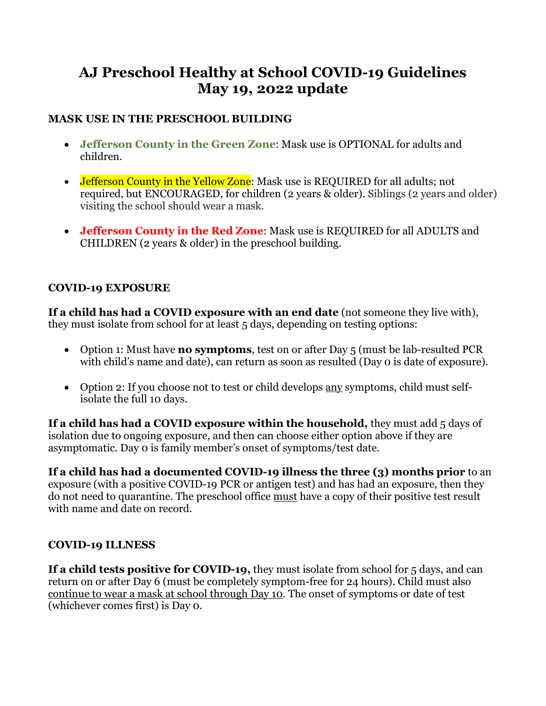# **AJ Preschool Healthy at School COVID-19 Guidelines May 19, 2022 update**

#### **MASK USE IN THE PRESCHOOL BUILDING**

- **Jefferson County in the Green Zone**: Mask use is OPTIONAL for adults and children.
- Jefferson County in the Yellow Zone: Mask use is REQUIRED for all adults; not required, but ENCOURAGED, for children (2 years & older). Siblings (2 years and older) visiting the school should wear a mask.
- **Jefferson County in the Red Zone**: Mask use is REQUIRED for all ADULTS and CHILDREN (2 years & older) in the preschool building.

#### **COVID-19 EXPOSURE**

**If a child has had a COVID exposure with an end date** (not someone they live with), they must isolate from school for at least 5 days, depending on testing options:

- Option 1: Must have **no symptoms**, test on or after Day 5 (must be lab-resulted PCR with child's name and date), can return as soon as resulted (Day 0 is date of exposure).
- Option 2: If you choose not to test or child develops <u>any</u> symptoms, child must selfisolate the full 10 days.

**If a child has had a COVID exposure within the household,** they must add 5 days of isolation due to ongoing exposure, and then can choose either option above if they are asymptomatic. Day 0 is family member's onset of symptoms/test date.

**If a child has had a documented COVID-19 illness the three (3) months prior** to an exposure (with a positive COVID-19 PCR or antigen test) and has had an exposure, then they do not need to quarantine. The preschool office must have a copy of their positive test result with name and date on record.

#### **COVID-19 ILLNESS**

**If a child tests positive for COVID-19,** they must isolate from school for 5 days, and can return on or after Day 6 (must be completely symptom-free for 24 hours). Child must also continue to wear a mask at school through Day 10. The onset of symptoms or date of test (whichever comes first) is Day 0.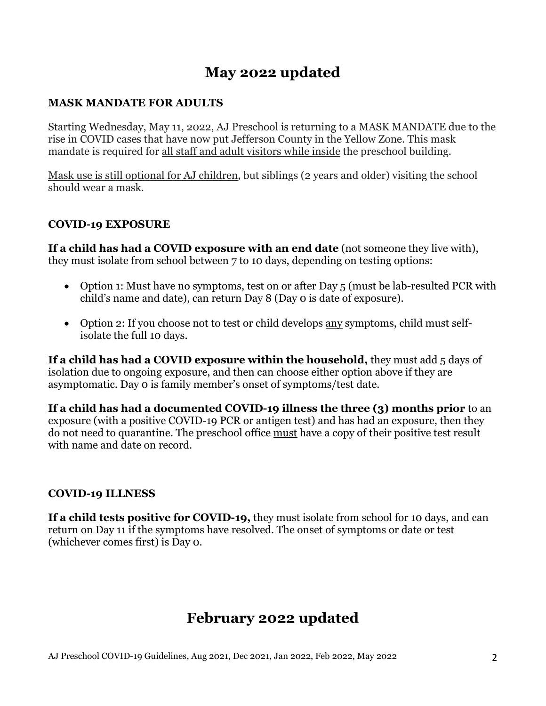# **May 2022 updated**

#### **MASK MANDATE FOR ADULTS**

Starting Wednesday, May 11, 2022, AJ Preschool is returning to a MASK MANDATE due to the rise in COVID cases that have now put Jefferson County in the Yellow Zone. This mask mandate is required for <u>all staff and adult visitors while inside</u> the preschool building.

Mask use is still optional for AJ children, but siblings (2 years and older) visiting the school should wear a mask.

#### **COVID-19 EXPOSURE**

**If a child has had a COVID exposure with an end date** (not someone they live with), they must isolate from school between 7 to 10 days, depending on testing options:

- Option 1: Must have no symptoms, test on or after Day 5 (must be lab-resulted PCR with child's name and date), can return Day 8 (Day 0 is date of exposure).
- Option 2: If you choose not to test or child develops <u>any</u> symptoms, child must selfisolate the full 10 days.

**If a child has had a COVID exposure within the household,** they must add 5 days of isolation due to ongoing exposure, and then can choose either option above if they are asymptomatic. Day 0 is family member's onset of symptoms/test date.

**If a child has had a documented COVID-19 illness the three (3) months prior** to an exposure (with a positive COVID-19 PCR or antigen test) and has had an exposure, then they do not need to quarantine. The preschool office must have a copy of their positive test result with name and date on record.

#### **COVID-19 ILLNESS**

**If a child tests positive for COVID-19,** they must isolate from school for 10 days, and can return on Day 11 if the symptoms have resolved. The onset of symptoms or date or test (whichever comes first) is Day 0.

# **February 2022 updated**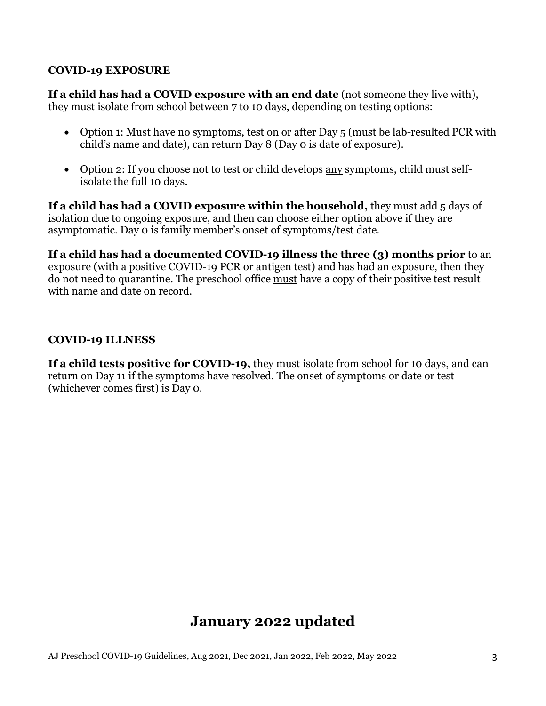#### **COVID-19 EXPOSURE**

**If a child has had a COVID exposure with an end date** (not someone they live with), they must isolate from school between 7 to 10 days, depending on testing options:

- Option 1: Must have no symptoms, test on or after Day 5 (must be lab-resulted PCR with child's name and date), can return Day 8 (Day 0 is date of exposure).
- Option 2: If you choose not to test or child develops any symptoms, child must selfisolate the full 10 days.

**If a child has had a COVID exposure within the household,** they must add 5 days of isolation due to ongoing exposure, and then can choose either option above if they are asymptomatic. Day 0 is family member's onset of symptoms/test date.

**If a child has had a documented COVID-19 illness the three (3) months prior** to an exposure (with a positive COVID-19 PCR or antigen test) and has had an exposure, then they do not need to quarantine. The preschool office must have a copy of their positive test result with name and date on record.

#### **COVID-19 ILLNESS**

**If a child tests positive for COVID-19,** they must isolate from school for 10 days, and can return on Day 11 if the symptoms have resolved. The onset of symptoms or date or test (whichever comes first) is Day 0.

# **January 2022 updated**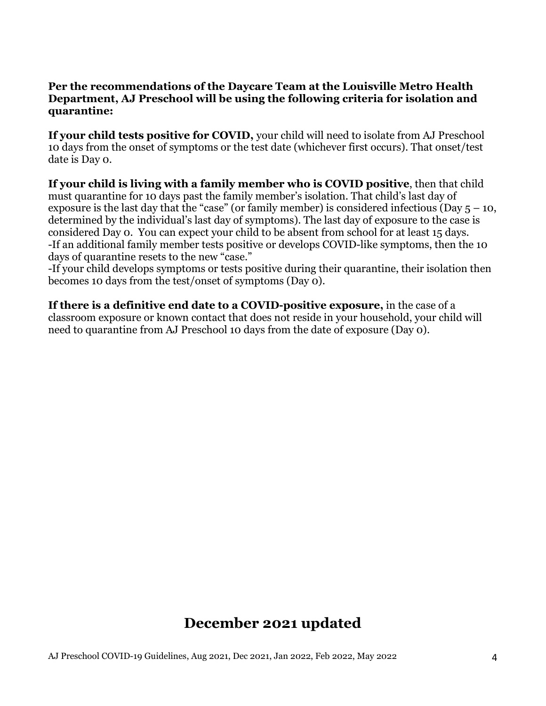#### **Per the recommendations of the Daycare Team at the Louisville Metro Health Department, AJ Preschool will be using the following criteria for isolation and quarantine:**

**If your child tests positive for COVID,** your child will need to isolate from AJ Preschool 10 days from the onset of symptoms or the test date (whichever first occurs). That onset/test date is Day 0.

**If your child is living with a family member who is COVID positive**, then that child must quarantine for 10 days past the family member's isolation. That child's last day of exposure is the last day that the "case" (or family member) is considered infectious (Day  $5 - 10$ , determined by the individual's last day of symptoms). The last day of exposure to the case is considered Day 0. You can expect your child to be absent from school for at least 15 days. -If an additional family member tests positive or develops COVID-like symptoms, then the 10 days of quarantine resets to the new "case."

-If your child develops symptoms or tests positive during their quarantine, their isolation then becomes 10 days from the test/onset of symptoms (Day 0).

**If there is a definitive end date to a COVID-positive exposure,** in the case of a classroom exposure or known contact that does not reside in your household, your child will need to quarantine from AJ Preschool 10 days from the date of exposure (Day 0).

# **December 2021 updated**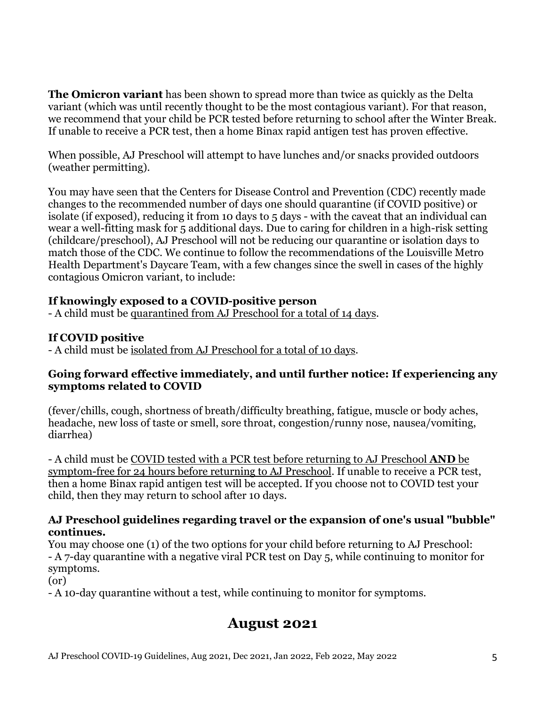**The Omicron variant** has been shown to spread more than twice as quickly as the Delta variant (which was until recently thought to be the most contagious variant). For that reason, we recommend that your child be PCR tested before returning to school after the Winter Break. If unable to receive a PCR test, then a home Binax rapid antigen test has proven effective.

When possible, AJ Preschool will attempt to have lunches and/or snacks provided outdoors (weather permitting).

You may have seen that the Centers for Disease Control and Prevention (CDC) recently made changes to the recommended number of days one should quarantine (if COVID positive) or isolate (if exposed), reducing it from 10 days to 5 days - with the caveat that an individual can wear a well-fitting mask for 5 additional days. Due to caring for children in a high-risk setting (childcare/preschool), AJ Preschool will not be reducing our quarantine or isolation days to match those of the CDC. We continue to follow the recommendations of the Louisville Metro Health Department's Daycare Team, with a few changes since the swell in cases of the highly contagious Omicron variant, to include:

#### **If knowingly exposed to a COVID-positive person**

- A child must be quarantined from AJ Preschool for a total of 14 days.

#### **If COVID positive**

- A child must be isolated from AJ Preschool for a total of 10 days.

#### **Going forward effective immediately, and until further notice: If experiencing any symptoms related to COVID**

(fever/chills, cough, shortness of breath/difficulty breathing, fatigue, muscle or body aches, headache, new loss of taste or smell, sore throat, congestion/runny nose, nausea/vomiting, diarrhea)

- A child must be COVID tested with a PCR test before returning to AJ Preschool **AND** be symptom-free for 24 hours before returning to AJ Preschool. If unable to receive a PCR test, then a home Binax rapid antigen test will be accepted. If you choose not to COVID test your child, then they may return to school after 10 days.

#### **AJ Preschool guidelines regarding travel or the expansion of one's usual "bubble" continues.**

You may choose one (1) of the two options for your child before returning to AJ Preschool: - A 7-day quarantine with a negative viral PCR test on Day 5, while continuing to monitor for symptoms.

(or)

- A 10-day quarantine without a test, while continuing to monitor for symptoms.

## **August 2021**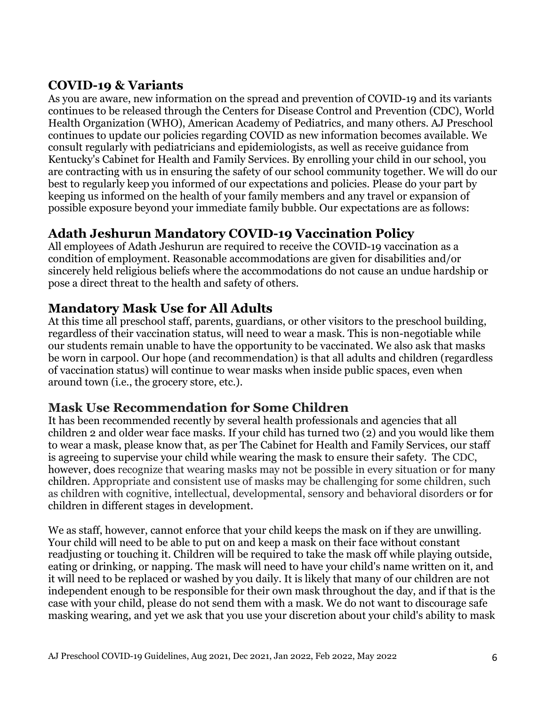### **COVID-19 & Variants**

As you are aware, new information on the spread and prevention of COVID-19 and its variants continues to be released through the Centers for Disease Control and Prevention (CDC), World Health Organization (WHO), American Academy of Pediatrics, and many others. AJ Preschool continues to update our policies regarding COVID as new information becomes available. We consult regularly with pediatricians and epidemiologists, as well as receive guidance from Kentucky's Cabinet for Health and Family Services. By enrolling your child in our school, you are contracting with us in ensuring the safety of our school community together. We will do our best to regularly keep you informed of our expectations and policies. Please do your part by keeping us informed on the health of your family members and any travel or expansion of possible exposure beyond your immediate family bubble. Our expectations are as follows:

### **Adath Jeshurun Mandatory COVID-19 Vaccination Policy**

All employees of Adath Jeshurun are required to receive the COVID-19 vaccination as a condition of employment. Reasonable accommodations are given for disabilities and/or sincerely held religious beliefs where the accommodations do not cause an undue hardship or pose a direct threat to the health and safety of others.

### **Mandatory Mask Use for All Adults**

At this time all preschool staff, parents, guardians, or other visitors to the preschool building, regardless of their vaccination status, will need to wear a mask. This is non-negotiable while our students remain unable to have the opportunity to be vaccinated. We also ask that masks be worn in carpool. Our hope (and recommendation) is that all adults and children (regardless of vaccination status) will continue to wear masks when inside public spaces, even when around town (i.e., the grocery store, etc.).

### **Mask Use Recommendation for Some Children**

It has been recommended recently by several health professionals and agencies that all children 2 and older wear face masks. If your child has turned two (2) and you would like them to wear a mask, please know that, as per The Cabinet for Health and Family Services, our staff is agreeing to supervise your child while wearing the mask to ensure their safety. The CDC, however, does recognize that wearing masks may not be possible in every situation or for many children. Appropriate and consistent use of masks may be challenging for some children, such as children with cognitive, intellectual, developmental, sensory and behavioral disorders or for children in different stages in development.

We as staff, however, cannot enforce that your child keeps the mask on if they are unwilling. Your child will need to be able to put on and keep a mask on their face without constant readjusting or touching it. Children will be required to take the mask off while playing outside, eating or drinking, or napping. The mask will need to have your child's name written on it, and it will need to be replaced or washed by you daily. It is likely that many of our children are not independent enough to be responsible for their own mask throughout the day, and if that is the case with your child, please do not send them with a mask. We do not want to discourage safe masking wearing, and yet we ask that you use your discretion about your child's ability to mask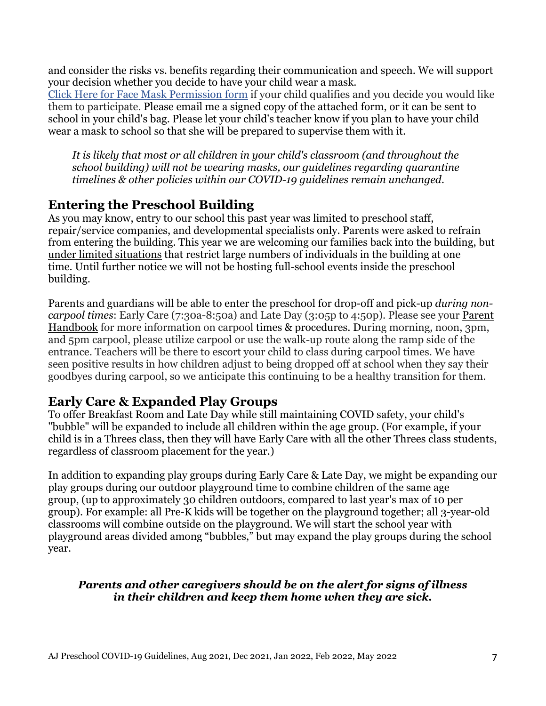and consider the risks vs. benefits regarding their communication and speech. We will support your decision whether you decide to have your child wear a mask.

[Click Here for Face Mask Permission form](https://adathjeshurun.wufoo.com/forms/moqzwy11jdsvoz/) if your child qualifies and you decide you would like them to participate. Please email me a signed copy of the attached form, or it can be sent to school in your child's bag. Please let your child's teacher know if you plan to have your child wear a mask to school so that she will be prepared to supervise them with it.

*It is likely that most or all children in your child's classroom (and throughout the school building) will not be wearing masks, our guidelines regarding quarantine timelines & other policies within our COVID-19 guidelines remain unchanged.*

### **Entering the Preschool Building**

As you may know, entry to our school this past year was limited to preschool staff, repair/service companies, and developmental specialists only. Parents were asked to refrain from entering the building. This year we are welcoming our families back into the building, but under limited situations that restrict large numbers of individuals in the building at one time. Until further notice we will not be hosting full-school events inside the preschool building.

Parents and guardians will be able to enter the preschool for drop-off and pick-up *during noncarpool times*: Early Care (7:30a-8:50a) and Late Day (3:05p to 4:50p). Please see your [Parent](https://ef4a5a6f-daad-469f-9360-af7e68e47f64.filesusr.com/ugd/3a279a_adfc75e4d7ba4fb6a8f598ab6834a072.pdf)  [Handbook](https://ef4a5a6f-daad-469f-9360-af7e68e47f64.filesusr.com/ugd/3a279a_adfc75e4d7ba4fb6a8f598ab6834a072.pdf) for more information on carpool times & procedures. During morning, noon, 3pm, and 5pm carpool, please utilize carpool or use the walk-up route along the ramp side of the entrance. Teachers will be there to escort your child to class during carpool times. We have seen positive results in how children adjust to being dropped off at school when they say their goodbyes during carpool, so we anticipate this continuing to be a healthy transition for them.

### **Early Care & Expanded Play Groups**

To offer Breakfast Room and Late Day while still maintaining COVID safety, your child's "bubble" will be expanded to include all children within the age group. (For example, if your child is in a Threes class, then they will have Early Care with all the other Threes class students, regardless of classroom placement for the year.)

In addition to expanding play groups during Early Care & Late Day, we might be expanding our play groups during our outdoor playground time to combine children of the same age group, (up to approximately 30 children outdoors, compared to last year's max of 10 per group). For example: all Pre-K kids will be together on the playground together; all 3-year-old classrooms will combine outside on the playground. We will start the school year with playground areas divided among "bubbles," but may expand the play groups during the school year.

#### *Parents and other caregivers should be on the alert for signs of illness in their children and keep them home when they are sick.*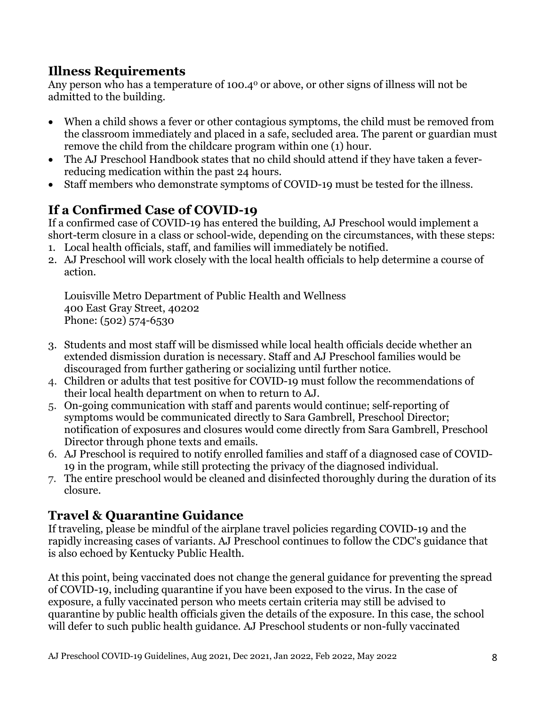### **Illness Requirements**

Any person who has a temperature of 100.4<sup>°</sup> or above, or other signs of illness will not be admitted to the building.

- When a child shows a fever or other contagious symptoms, the child must be removed from the classroom immediately and placed in a safe, secluded area. The parent or guardian must remove the child from the childcare program within one (1) hour.
- The AJ Preschool Handbook states that no child should attend if they have taken a feverreducing medication within the past 24 hours.
- Staff members who demonstrate symptoms of COVID-19 must be tested for the illness.

## **If a Confirmed Case of COVID-19**

If a confirmed case of COVID-19 has entered the building, AJ Preschool would implement a short-term closure in a class or school-wide, depending on the circumstances, with these steps:

- 1. Local health officials, staff, and families will immediately be notified.
- 2. AJ Preschool will work closely with the local health officials to help determine a course of action.

Louisville Metro Department of Public Health and Wellness 400 East Gray Street, 40202 Phone: [\(502\) 574-6530](tel:+15025746530)

- 3. Students and most staff will be dismissed while local health officials decide whether an extended dismission duration is necessary. Staff and AJ Preschool families would be discouraged from further gathering or socializing until further notice.
- 4. Children or adults that test positive for COVID-19 must follow the recommendations of their local health department on when to return to AJ.
- 5. On-going communication with staff and parents would continue; self-reporting of symptoms would be communicated directly to Sara Gambrell, Preschool Director; notification of exposures and closures would come directly from Sara Gambrell, Preschool Director through phone texts and emails.
- 6. AJ Preschool is required to notify enrolled families and staff of a diagnosed case of COVID-19 in the program, while still protecting the privacy of the diagnosed individual.
- 7. The entire preschool would be cleaned and disinfected thoroughly during the duration of its closure.

### **Travel & Quarantine Guidance**

If traveling, please be mindful of the airplane travel policies regarding COVID-19 and the rapidly increasing cases of variants. AJ Preschool continues to follow the CDC's guidance that is also echoed by Kentucky Public Health.

At this point, being vaccinated does not change the general guidance for preventing the spread of COVID-19, including quarantine if you have been exposed to the virus. In the case of exposure, a fully vaccinated person who meets certain criteria may still be advised to quarantine by public health officials given the details of the exposure. In this case, the school will defer to such public health guidance. AJ Preschool students or non-fully vaccinated